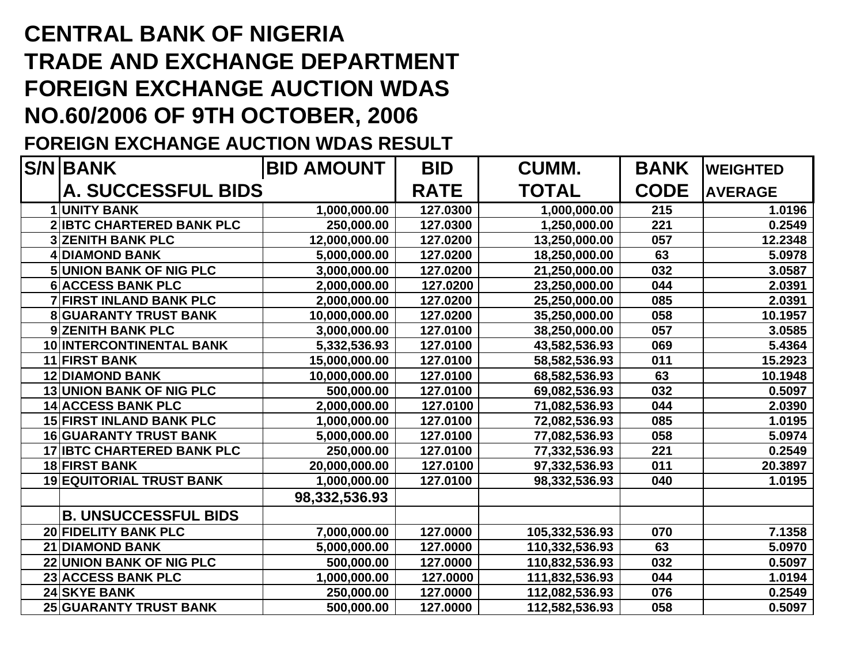## **CENTRAL BANK OF NIGERIA TRADE AND EXCHANGE DEPARTMENT FOREIGN EXCHANGE AUCTION WDAS NO.60/2006 OF 9TH OCTOBER, 2006**

## **FOREIGN EXCHANGE AUCTION WDAS RESULT**

| <b>S/NIBANK</b>                   | <b>BID AMOUNT</b> | <b>BID</b> | <b>CUMM.</b>   | <b>BANK</b>    | <b>WEIGHTED</b> |
|-----------------------------------|-------------------|------------|----------------|----------------|-----------------|
| <b>A. SUCCESSFUL BIDS</b>         | <b>RATE</b>       | TOTAL      | <b>CODE</b>    | <b>AVERAGE</b> |                 |
| <b>1 UNITY BANK</b>               | 1,000,000.00      | 127.0300   | 1,000,000.00   | 215            | 1.0196          |
| <b>2 IBTC CHARTERED BANK PLC</b>  | 250,000.00        | 127.0300   | 1,250,000.00   | 221            | 0.2549          |
| <b>3 ZENITH BANK PLC</b>          | 12,000,000.00     | 127.0200   | 13,250,000.00  | 057            | 12.2348         |
| 4 DIAMOND BANK                    | 5,000,000.00      | 127.0200   | 18,250,000.00  | 63             | 5.0978          |
| <b>5 UNION BANK OF NIG PLC</b>    | 3,000,000.00      | 127.0200   | 21,250,000.00  | 032            | 3.0587          |
| <b>6 ACCESS BANK PLC</b>          | 2,000,000.00      | 127.0200   | 23,250,000.00  | 044            | 2.0391          |
| <b>7 FIRST INLAND BANK PLC</b>    | 2,000,000.00      | 127.0200   | 25,250,000.00  | 085            | 2.0391          |
| <b>8 GUARANTY TRUST BANK</b>      | 10,000,000.00     | 127.0200   | 35,250,000.00  | 058            | 10.1957         |
| 9 ZENITH BANK PLC                 | 3,000,000.00      | 127.0100   | 38,250,000.00  | 057            | 3.0585          |
| 10 INTERCONTINENTAL BANK          | 5,332,536.93      | 127.0100   | 43,582,536.93  | 069            | 5.4364          |
| <b>11 FIRST BANK</b>              | 15,000,000.00     | 127.0100   | 58,582,536.93  | 011            | 15.2923         |
| <b>12 DIAMOND BANK</b>            | 10,000,000.00     | 127.0100   | 68,582,536.93  | 63             | 10.1948         |
| <b>13 UNION BANK OF NIG PLC</b>   | 500,000.00        | 127.0100   | 69,082,536.93  | 032            | 0.5097          |
| 14 ACCESS BANK PLC                | 2,000,000.00      | 127.0100   | 71,082,536.93  | 044            | 2.0390          |
| <b>15 FIRST INLAND BANK PLC</b>   | 1,000,000.00      | 127.0100   | 72,082,536.93  | 085            | 1.0195          |
| <b>16 GUARANTY TRUST BANK</b>     | 5,000,000.00      | 127.0100   | 77,082,536.93  | 058            | 5.0974          |
| <b>17 IBTC CHARTERED BANK PLC</b> | 250,000.00        | 127.0100   | 77,332,536.93  | 221            | 0.2549          |
| <b>18 FIRST BANK</b>              | 20,000,000.00     | 127.0100   | 97,332,536.93  | 011            | 20.3897         |
| <b>19 EQUITORIAL TRUST BANK</b>   | 1,000,000.00      | 127.0100   | 98,332,536.93  | 040            | 1.0195          |
|                                   | 98,332,536.93     |            |                |                |                 |
| <b>B. UNSUCCESSFUL BIDS</b>       |                   |            |                |                |                 |
| <b>20 FIDELITY BANK PLC</b>       | 7,000,000.00      | 127.0000   | 105,332,536.93 | 070            | 7.1358          |
| <b>21 DIAMOND BANK</b>            | 5,000,000.00      | 127.0000   | 110,332,536.93 | 63             | 5.0970          |
| <b>22 UNION BANK OF NIG PLC</b>   | 500,000.00        | 127.0000   | 110,832,536.93 | 032            | 0.5097          |
| 23 ACCESS BANK PLC                | 1,000,000.00      | 127.0000   | 111,832,536.93 | 044            | 1.0194          |
| <b>24 SKYE BANK</b>               | 250,000.00        | 127.0000   | 112,082,536.93 | 076            | 0.2549          |
| <b>25 GUARANTY TRUST BANK</b>     | 500,000.00        | 127.0000   | 112,582,536.93 | 058            | 0.5097          |